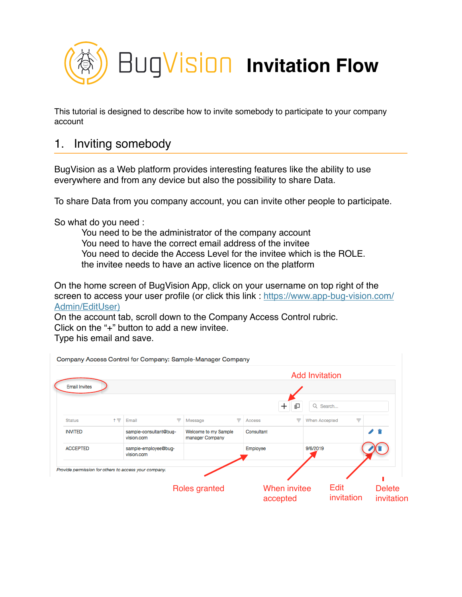

This tutorial is designed to describe how to invite somebody to participate to your company account

# 1. Inviting somebody

BugVision as a Web platform provides interesting features like the ability to use everywhere and from any device but also the possibility to share Data.

To share Data from you company account, you can invite other people to participate.

So what do you need :

You need to be the administrator of the company account You need to have the correct email address of the invitee You need to decide the Access Level for the invitee which is the ROLE. the invitee needs to have an active licence on the platform

On the home screen of BugVision App, click on your username on top right of the screen to access your user profile (or click this link : https://www.app-bug-vision.com/ Admin/EditUser)

On the account tab, scroll down to the Company Access Control rubric. Click on the "+" button to add a new invitee.

Type his email and save.

| <b>Email Invites</b> |       |                                                       |                                         |            |                     | <b>Add Invitation</b> |   |               |
|----------------------|-------|-------------------------------------------------------|-----------------------------------------|------------|---------------------|-----------------------|---|---------------|
|                      |       |                                                       |                                         |            | $\mathrm{+}$<br>印   | Q Search              |   |               |
| <b>Status</b>        | $+ -$ | Email                                                 | ▼<br>Message                            | Access     | ▼                   | <b>When Accepted</b>  | ▼ |               |
| <b>INVITED</b>       |       | sample-consultant@bug-<br>vision.com                  | Welcome to my Sample<br>manager Company | Consultant |                     |                       |   |               |
| <b>ACCEPTED</b>      |       | sample-employee@bug-<br>vision.com                    |                                         | Employee   |                     | 9/6/2019              |   |               |
|                      |       | Provide permission for others to access your company. |                                         |            |                     |                       |   |               |
|                      |       |                                                       | Roles granted                           |            | <b>When invitee</b> | <b>Edit</b>           |   | <b>Delete</b> |